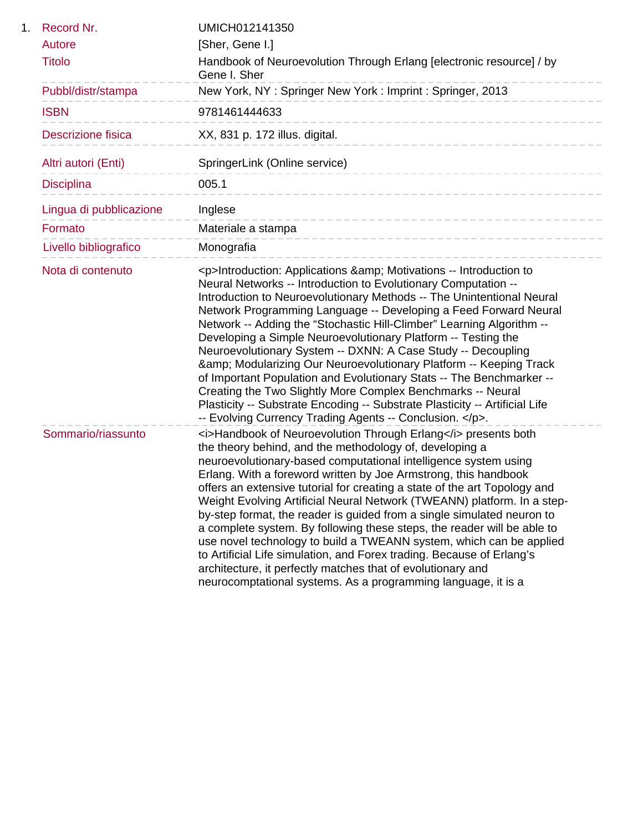| 1. | Record Nr.              | UMICH012141350                                                                                                                                                                                                                                                                                                                                                                                                                                                                                                                                                                                                                                                                                                                                                                                                                                                  |
|----|-------------------------|-----------------------------------------------------------------------------------------------------------------------------------------------------------------------------------------------------------------------------------------------------------------------------------------------------------------------------------------------------------------------------------------------------------------------------------------------------------------------------------------------------------------------------------------------------------------------------------------------------------------------------------------------------------------------------------------------------------------------------------------------------------------------------------------------------------------------------------------------------------------|
|    | Autore                  | [Sher, Gene I.]                                                                                                                                                                                                                                                                                                                                                                                                                                                                                                                                                                                                                                                                                                                                                                                                                                                 |
|    | <b>Titolo</b>           | Handbook of Neuroevolution Through Erlang [electronic resource] / by<br>Gene I. Sher                                                                                                                                                                                                                                                                                                                                                                                                                                                                                                                                                                                                                                                                                                                                                                            |
|    | Pubbl/distr/stampa      | New York, NY: Springer New York: Imprint: Springer, 2013                                                                                                                                                                                                                                                                                                                                                                                                                                                                                                                                                                                                                                                                                                                                                                                                        |
|    | <b>ISBN</b>             | 9781461444633                                                                                                                                                                                                                                                                                                                                                                                                                                                                                                                                                                                                                                                                                                                                                                                                                                                   |
|    | Descrizione fisica      | XX, 831 p. 172 illus. digital.<br>----------------------                                                                                                                                                                                                                                                                                                                                                                                                                                                                                                                                                                                                                                                                                                                                                                                                        |
|    | Altri autori (Enti)     | SpringerLink (Online service)<br>______________________________                                                                                                                                                                                                                                                                                                                                                                                                                                                                                                                                                                                                                                                                                                                                                                                                 |
|    | <b>Disciplina</b>       | 005.1<br>-----------------------------                                                                                                                                                                                                                                                                                                                                                                                                                                                                                                                                                                                                                                                                                                                                                                                                                          |
|    | Lingua di pubblicazione | Inglese<br>-------------------------------                                                                                                                                                                                                                                                                                                                                                                                                                                                                                                                                                                                                                                                                                                                                                                                                                      |
|    | Formato                 | Materiale a stampa<br>------------------------                                                                                                                                                                                                                                                                                                                                                                                                                                                                                                                                                                                                                                                                                                                                                                                                                  |
|    | Livello bibliografico   | Monografia                                                                                                                                                                                                                                                                                                                                                                                                                                                                                                                                                                                                                                                                                                                                                                                                                                                      |
|    | Nota di contenuto       | <p>Introduction: Applications &amp; Motivations -- Introduction to<br/>Neural Networks -- Introduction to Evolutionary Computation --<br/>Introduction to Neuroevolutionary Methods -- The Unintentional Neural<br/>Network Programming Language -- Developing a Feed Forward Neural<br/>Network -- Adding the "Stochastic Hill-Climber" Learning Algorithm --<br/>Developing a Simple Neuroevolutionary Platform -- Testing the<br/>Neuroevolutionary System -- DXNN: A Case Study -- Decoupling<br/>&amp; Modularizing Our Neuroevolutionary Platform -- Keeping Track<br/>of Important Population and Evolutionary Stats -- The Benchmarker --<br/>Creating the Two Slightly More Complex Benchmarks -- Neural<br/>Plasticity -- Substrate Encoding -- Substrate Plasticity -- Artificial Life<br/>-- Evolving Currency Trading Agents -- Conclusion. </p> . |
|    | Sommario/riassunto      | <i>Handbook of Neuroevolution Through Erlang</i> presents both<br>the theory behind, and the methodology of, developing a<br>neuroevolutionary-based computational intelligence system using<br>Erlang. With a foreword written by Joe Armstrong, this handbook<br>offers an extensive tutorial for creating a state of the art Topology and<br>Weight Evolving Artificial Neural Network (TWEANN) platform. In a step-<br>by-step format, the reader is guided from a single simulated neuron to<br>a complete system. By following these steps, the reader will be able to<br>use novel technology to build a TWEANN system, which can be applied<br>to Artificial Life simulation, and Forex trading. Because of Erlang's<br>architecture, it perfectly matches that of evolutionary and<br>neurocomptational systems. As a programming language, it is a    |